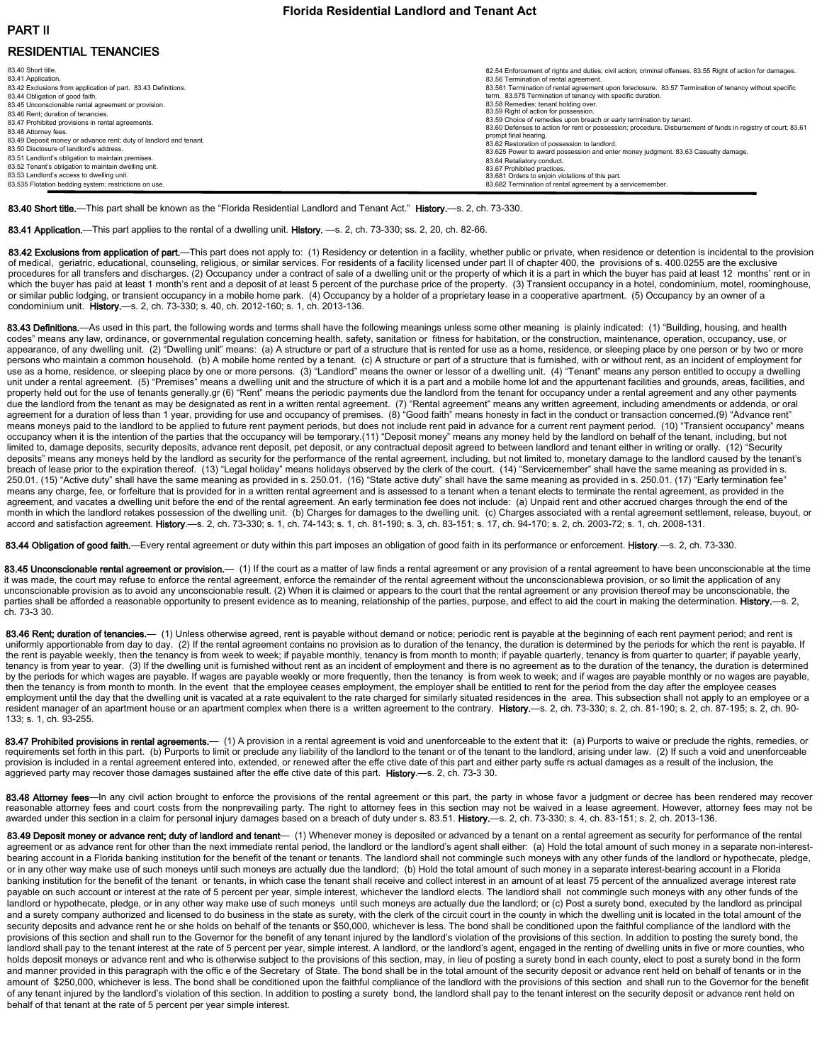# PART II RESIDENTIAL TENANCIES

| 83.40 Short title.                                                | 82.54 Enforcement of rights and duties: civil action: criminal offenses, 83.55 Right of action for damages,   |
|-------------------------------------------------------------------|---------------------------------------------------------------------------------------------------------------|
| 83.41 Application.                                                | 83.56 Termination of rental agreement.                                                                        |
| 83.42 Exclusions from application of part. 83.43 Definitions.     | 83.561 Termination of rental agreement upon foreclosure. 83.57 Termination of tenancy without specific        |
| 83.44 Obligation of good faith.                                   | term. 83.575 Termination of tenancy with specific duration.                                                   |
| 83.45 Unconscionable rental agreement or provision.               | 83.58 Remedies; tenant holding over.                                                                          |
| 83.46 Rent: duration of tenancies.                                | 83.59 Right of action for possession.                                                                         |
| 83.47 Prohibited provisions in rental agreements.                 | 83.59 Choice of remedies upon breach or early termination by tenant.                                          |
| 83.48 Attornev fees.                                              | 83.60 Defenses to action for rent or possession; procedure. Disbursement of funds in registry of court; 83.61 |
| 83.49 Deposit money or advance rent; duty of landlord and tenant. | prompt final hearing.<br>83.62 Restoration of possession to landlord.                                         |
| 83.50 Disclosure of landlord's address.                           | 83.625 Power to award possession and enter money judgment, 83.63 Casualty damage.                             |
| 83.51 Landlord's obligation to maintain premises.                 |                                                                                                               |
| 83.52 Tenant's obligation to maintain dwelling unit.              | 83.64 Retaliatory conduct.<br>83.67 Prohibited practices.                                                     |
| 83.53 Landlord's access to dwelling unit.                         | 83.681 Orders to enjoin violations of this part.                                                              |
| 83.535 Flotation bedding system; restrictions on use.             | 83,682 Termination of rental agreement by a servicemember.                                                    |
|                                                                   |                                                                                                               |

83.40 Short title.—This part shall be known as the "Florida Residential Landlord and Tenant Act." History.—s. 2, ch. 73-330.

83.41 Application.—This part applies to the rental of a dwelling unit. History. —s. 2, ch. 73-330; ss. 2, 20, ch. 82-66.

83.42 Exclusions from application of part.—This part does not apply to: (1) Residency or detention in a facility, whether public or private, when residence or detention is incidental to the provision of medical, geriatric, educational, counseling, religious, or similar services. For residents of a facility licensed under part II of chapter 400, the provisions of s. 400.0255 are the exclusive procedures for all transfers and discharges. (2) Occupancy under a contract of sale of a dwelling unit or the property of which it is a part in which the buyer has paid at least 12 months' rent or in which the buyer has paid at least 1 month's rent and a deposit of at least 5 percent of the purchase price of the property. (3) Transient occupancy in a hotel, condominium, motel, roominghouse, or similar public lodging, or transient occupancy in a mobile home park. (4) Occupancy by a holder of a proprietary lease in a cooperative apartment. (5) Occupancy by an owner of a condominium unit. History.—s. 2, ch. 73‐330; s. 40, ch. 2012‐160; s. 1, ch. 2013‐136.

83.43 Definitions.—As used in this part, the following words and terms shall have the following meanings unless some other meaning is plainly indicated: (1) "Building, housing, and health codes" means any law, ordinance, or governmental regulation concerning health, safety, sanitation or fitness for habitation, or the construction, maintenance, operation, occupancy, use, or appearance, of any dwelling unit. (2) "Dwelling unit" means: (a) A structure or part of a structure that is rented for use as a home, residence, or sleeping place by one person or by two or more persons who maintain a common household. (b) A mobile home rented by a tenant. (c) A structure or part of a structure that is furnished, with or without rent, as an incident of employment for use as a home, residence, or sleeping place by one or more persons. (3) "Landlord" means the owner or lessor of a dwelling unit. (4) "Tenant" means any person entitled to occupy a dwelling unit under a rental agreement. (5) "Premises" means a dwelling unit and the structure of which it is a part and a mobile home lot and the appurtenant facilities and grounds, areas, facilities, and property held out for the use of tenants generally.gr (6) "Rent" means the periodic payments due the landlord from the tenant for occupancy under a rental agreement and any other payments due the landlord from the tenant as may be designated as rent in a written rental agreement. (7) "Rental agreement" means any written agreement, including amendments or addenda, or oral agreement for a duration of less than 1 year, providing for use and occupancy of premises. (8) "Good faith" means honesty in fact in the conduct or transaction concerned.(9) "Advance rent" means moneys paid to the landlord to be applied to future rent payment periods, but does not include rent paid in advance for a current rent payment period. (10) "Transient occupancy" means occupancy when it is the intention of the parties that the occupancy will be temporary.(11) "Deposit money" means any money held by the landlord on behalf of the tenant, including, but not limited to, damage deposits, security deposits, advance rent deposit, pet deposit, or any contractual deposit agreed to between landlord and tenant either in writing or orally. (12) "Security deposits" means any moneys held by the landlord as security for the performance of the rental agreement, including, but not limited to, monetary damage to the landlord caused by the tenant's breach of lease prior to the expiration thereof. (13) "Legal holiday" means holidays observed by the clerk of the court. (14) "Servicemember" shall have the same meaning as provided in s. 250.01. (15) "Active duty" shall have the same meaning as provided in s. 250.01. (16) "State active duty" shall have the same meaning as provided in s. 250.01. (17) "Early termination fee" means any charge, fee, or forfeiture that is provided for in a written rental agreement and is assessed to a tenant when a tenant elects to terminate the rental agreement, as provided in the agreement, and vacates a dwelling unit before the end of the rental agreement. An early termination fee does not include: (a) Unpaid rent and other accrued charges through the end of the month in which the landlord retakes possession of the dwelling unit. (b) Charges for damages to the dwelling unit. (c) Charges associated with a rental agreement settlement, release, buyout, or accord and satisfaction agreement. History.—s. 2, ch. 73-330; s. 1, ch. 74-143; s. 1, ch. 81-190; s. 3, ch. 83-151; s. 17, ch. 94-170; s. 2, ch. 2003-72; s. 1, ch. 2008-131.

83.44 Obligation of good faith.—Every rental agreement or duty within this part imposes an obligation of good faith in its performance or enforcement. History.—s. 2, ch. 73-330.

83.45 Unconscionable rental agreement or provision.— (1) If the court as a matter of law finds a rental agreement or any provision of a rental agreement to have been unconscionable at the time it was made, the court may refuse to enforce the rental agreement, enforce the remainder of the rental agreement without the unconscionablewa provision, or so limit the application of any unconscionable provision as to avoid any unconscionable result. (2) When it is claimed or appears to the court that the rental agreement or any provision thereof may be unconscionable, the parties shall be afforded a reasonable opportunity to present evidence as to meaning, relationship of the parties, purpose, and effect to aid the court in making the determination. History.—s. 2, ch. 73‐3 30.

83.46 Rent; duration of tenancies.- (1) Unless otherwise agreed, rent is payable without demand or notice; periodic rent is payable at the beginning of each rent payment period; and rent is uniformly apportionable from day to day. (2) If the rental agreement contains no provision as to duration of the tenancy, the duration is determined by the periods for which the rent is payable. If the rent is payable weekly, then the tenancy is from week to week; if payable monthly, tenancy is from month to month; if payable quarterly, tenancy is from quarter to quarter; if payable yearly, tenancy is from year to year. (3) If the dwelling unit is furnished without rent as an incident of employment and there is no agreement as to the duration of the tenancy, the duration is determined by the periods for which wages are payable. If wages are payable weekly or more frequently, then the tenancy is from week to week; and if wages are payable monthly or no wages are payable, then the tenancy is from month to month. In the event that the employee ceases employment, the employer shall be entitled to rent for the period from the day after the employee ceases employment until the day that the dwelling unit is vacated at a rate equivalent to the rate charged for similarly situated residences in the area. This subsection shall not apply to an employee or a resident manager of an apartment house or an apartment complex when there is a written agreement to the contrary. History.—s. 2, ch. 73-330; s. 2, ch. 81-190; s. 2, ch. 87-195; s. 2, ch. 80-133; s. 1, ch. 93‐255.

83.47 Prohibited provisions in rental agreements.— (1) A provision in a rental agreement is void and unenforceable to the extent that it: (a) Purports to waive or preclude the rights, remedies, or requirements set forth in this part. (b) Purports to limit or preclude any liability of the landlord to the tenant or of the tenant to the landlord, arising under law. (2) If such a void and unenforceable provision is included in a rental agreement entered into, extended, or renewed after the effe ctive date of this part and either party suffe rs actual damages as a result of the inclusion, the aggrieved party may recover those damages sustained after the effe ctive date of this part. History.—s. 2, ch. 73-3 30.

83.48 Attorney fees—In any civil action brought to enforce the provisions of the rental agreement or this part, the party in whose favor a judgment or decree has been rendered may recover reasonable attorney fees and court costs from the nonprevailing party. The right to attorney fees in this section may not be waived in a lease agreement. However, attorney fees may not be awarded under this section in a claim for personal injury damages based on a breach of duty under s. 83.51. History.—s. 2, ch. 73-330; s. 4, ch. 83-151; s. 2, ch. 2013-136.

83.49 Deposit money or advance rent; duty of landlord and tenant- (1) Whenever money is deposited or advanced by a tenant on a rental agreement as security for performance of the rental agreement or as advance rent for other than the next immediate rental period, the landlord or the landlord's agent shall either: (a) Hold the total amount of such money in a separate non-interestbearing account in a Florida banking institution for the benefit of the tenant or tenants. The landlord shall not commingle such moneys with any other funds of the landlord or hypothecate, pledge, or in any other way make use of such moneys until such moneys are actually due the landlord; (b) Hold the total amount of such money in a separate interest-bearing account in a Florida banking institution for the benefit of the tenant or tenants, in which case the tenant shall receive and collect interest in an amount of at least 75 percent of the annualized average interest rate payable on such account or interest at the rate of 5 percent per year, simple interest, whichever the landlord elects. The landlord shall not commingle such moneys with any other funds of the landlord or hypothecate, pledge, or in any other way make use of such moneys until such moneys are actually due the landlord; or (c) Post a surety bond, executed by the landlord as principal and a surety company authorized and licensed to do business in the state as surety, with the clerk of the circuit court in the county in which the dwelling unit is located in the total amount of the security deposits and advance rent he or she holds on behalf of the tenants or \$50,000, whichever is less. The bond shall be conditioned upon the faithful compliance of the landlord with the provisions of this section and shall run to the Governor for the benefit of any tenant injured by the landlord's violation of the provisions of this section. In addition to posting the surety bond, the landlord shall pay to the tenant interest at the rate of 5 percent per year, simple interest. A landlord, or the landlord's agent, engaged in the renting of dwelling units in five or more counties, who holds deposit moneys or advance rent and who is otherwise subject to the provisions of this section, may, in lieu of posting a surety bond in each county, elect to post a surety bond in the form and manner provided in this paragraph with the offic e of the Secretary of State. The bond shall be in the total amount of the security deposit or advance rent held on behalf of tenants or in the amount of \$250,000, whichever is less. The bond shall be conditioned upon the faithful compliance of the landlord with the provisions of this section and shall run to the Governor for the benefit of any tenant injured by the landlord's violation of this section. In addition to posting a surety bond, the landlord shall pay to the tenant interest on the security deposit or advance rent held on behalf of that tenant at the rate of 5 percent per year simple interest.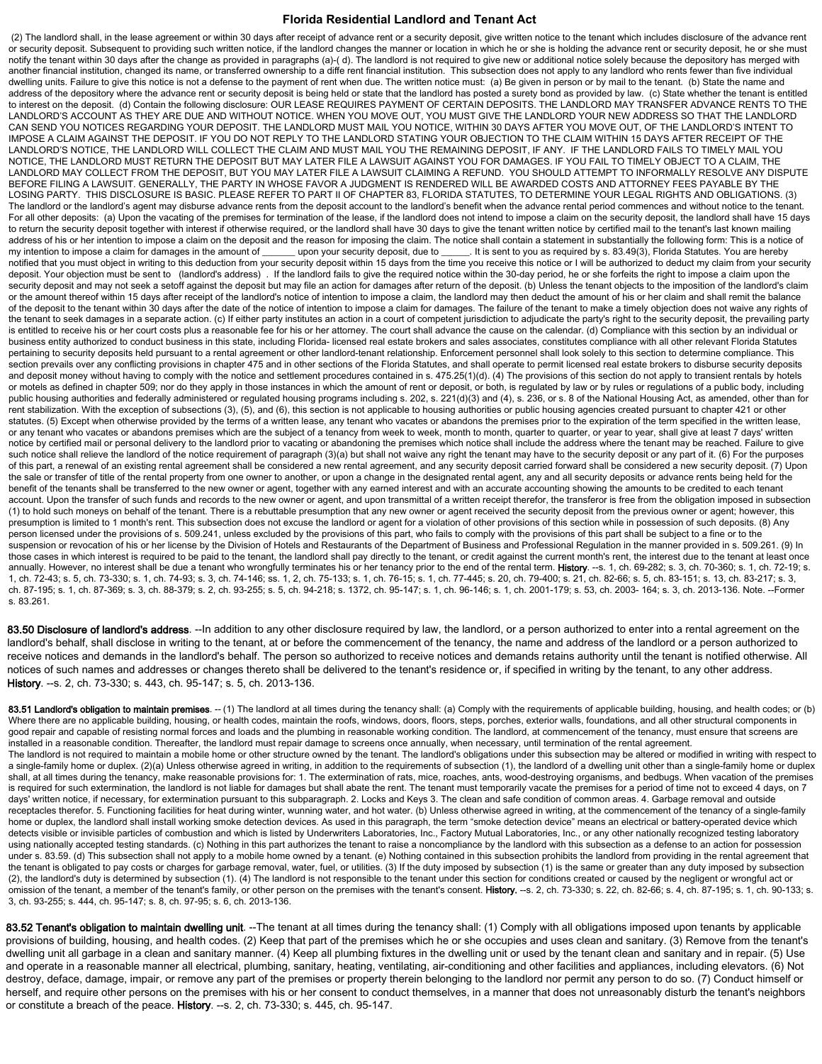(2) The landlord shall, in the lease agreement or within 30 days after receipt of advance rent or a security deposit, give written notice to the tenant which includes disclosure of the advance rent or security deposit. Subsequent to providing such written notice, if the landlord changes the manner or location in which he or she is holding the advance rent or security deposit, he or she must notify the tenant within 30 days after the change as provided in paragraphs (a)-(d). The landlord is not required to give new or additional notice solely because the depository has merged with another financial institution, changed its name, or transferred ownership to a diffe rent financial institution. This subsection does not apply to any landlord who rents fewer than five individual dwelling units. Failure to give this notice is not a defense to the payment of rent when due. The written notice must: (a) Be given in person or by mail to the tenant. (b) State the name and address of the depository where the advance rent or security deposit is being held or state that the landlord has posted a surety bond as provided by law. (c) State whether the tenant is entitled to interest on the deposit. (d) Contain the following disclosure: OUR LEASE REQUIRES PAYMENT OF CERTAIN DEPOSITS. THE LANDLORD MAY TRANSFER ADVANCE RENTS TO THE LANDLORD'S ACCOUNT AS THEY ARE DUE AND WITHOUT NOTICE. WHEN YOU MOVE OUT, YOU MUST GIVE THE LANDLORD YOUR NEW ADDRESS SO THAT THE LANDLORD CAN SEND YOU NOTICES REGARDING YOUR DEPOSIT. THE LANDLORD MUST MAIL YOU NOTICE, WITHIN 30 DAYS AFTER YOU MOVE OUT, OF THE LANDLORD'S INTENT TO IMPOSE A CLAIM AGAINST THE DEPOSIT. IF YOU DO NOT REPLY TO THE LANDLORD STATING YOUR OBJECTION TO THE CLAIM WITHIN 15 DAYS AFTER RECEIPT OF THE LANDLORD'S NOTICE, THE LANDLORD WILL COLLECT THE CLAIM AND MUST MAIL YOU THE REMAINING DEPOSIT, IF ANY. IF THE LANDLORD FAILS TO TIMELY MAIL YOU NOTICE, THE LANDLORD MUST RETURN THE DEPOSIT BUT MAY LATER FILE A LAWSUIT AGAINST YOU FOR DAMAGES. IF YOU FAIL TO TIMELY OBJECT TO A CLAIM, THE LANDLORD MAY COLLECT FROM THE DEPOSIT, BUT YOU MAY LATER FILE A LAWSUIT CLAIMING A REFUND. YOU SHOULD ATTEMPT TO INFORMALLY RESOLVE ANY DISPUTE BEFORE FILING A LAWSUIT. GENERALLY, THE PARTY IN WHOSE FAVOR A JUDGMENT IS RENDERED WILL BE AWARDED COSTS AND ATTORNEY FEES PAYABLE BY THE LOSING PARTY. THIS DISCLOSURE IS BASIC. PLEASE REFER TO PART II OF CHAPTER 83, FLORIDA STATUTES, TO DETERMINE YOUR LEGAL RIGHTS AND OBLIGATIONS. (3) The landlord or the landlord's agent may disburse advance rents from the deposit account to the landlord's benefit when the advance rental period commences and without notice to the tenant. For all other deposits: (a) Upon the vacating of the premises for termination of the lease, if the landlord does not intend to impose a claim on the security deposit, the landlord shall have 15 days to return the security deposit together with interest if otherwise required, or the landlord shall have 30 days to give the tenant written notice by certified mail to the tenant's last known mailing address of his or her intention to impose a claim on the deposit and the reason for imposing the claim. The notice shall contain a statement in substantially the following form: This is a notice of<br>my intention to impose a ... It is sent to you as required by s. 83.49(3), Florida Statutes. You are hereby notified that you must object in writing to this deduction from your security deposit within 15 days from the time you receive this notice or I will be authorized to deduct my claim from your security deposit. Your objection must be sent to (landlord's address) . If the landlord fails to give the required notice within the 30-day period, he or she forfeits the right to impose a claim upon the security deposit and may not seek a setoff against the deposit but may file an action for damages after return of the deposit. (b) Unless the tenant objects to the imposition of the landlord's claim or the amount thereof within 15 days after receipt of the landlord's notice of intention to impose a claim, the landlord may then deduct the amount of his or her claim and shall remit the balance of the deposit to the tenant within 30 days after the date of the notice of intention to impose a claim for damages. The failure of the tenant to make a timely objection does not waive any rights of the tenant to seek damages in a separate action. (c) If either party institutes an action in a court of competent jurisdiction to adjudicate the party's right to the security deposit, the prevailing party is entitled to receive his or her court costs plus a reasonable fee for his or her attorney. The court shall advance the cause on the calendar. (d) Compliance with this section by an individual or business entity authorized to conduct business in this state, including Florida- licensed real estate brokers and sales associates, constitutes compliance with all other relevant Florida Statutes pertaining to security deposits held pursuant to a rental agreement or other landlord-tenant relationship. Enforcement personnel shall look solely to this section to determine compliance. This section prevails over any conflicting provisions in chapter 475 and in other sections of the Florida Statutes, and shall operate to permit licensed real estate brokers to disburse security deposits and deposit money without having to comply with the notice and settlement procedures contained in s. 475.25(1)(d). (4) The provisions of this section do not apply to transient rentals by hotels or motels as defined in chapter 509; nor do they apply in those instances in which the amount of rent or deposit, or both, is regulated by law or by rules or regulations of a public body, including public housing authorities and federally administered or regulated housing programs including s. 202, s. 221(d)(3) and (4), s. 236, or s. 8 of the National Housing Act, as amended, other than for rent stabilization. With the exception of subsections (3), (5), and (6), this section is not applicable to housing authorities or public housing agencies created pursuant to chapter 421 or other statutes. (5) Except when otherwise provided by the terms of a written lease, any tenant who vacates or abandons the premises prior to the expiration of the term specified in the written lease, or any tenant who vacates or abandons premises which are the subject of a tenancy from week to week, month to month, quarter to quarter, or year to year, shall give at least 7 days' written notice by certified mail or personal delivery to the landlord prior to vacating or abandoning the premises which notice shall include the address where the tenant may be reached. Failure to give such notice shall relieve the landlord of the notice requirement of paragraph (3)(a) but shall not waive any right the tenant may have to the security deposit or any part of it. (6) For the purposes of this part, a renewal of an existing rental agreement shall be considered a new rental agreement, and any security deposit carried forward shall be considered a new security deposit. (7) Upon the sale or transfer of title of the rental property from one owner to another, or upon a change in the designated rental agent, any and all security deposits or advance rents being held for the benefit of the tenants shall be transferred to the new owner or agent, together with any earned interest and with an accurate accounting showing the amounts to be credited to each tenant account. Upon the transfer of such funds and records to the new owner or agent, and upon transmittal of a written receipt therefor, the transferor is free from the obligation imposed in subsection (1) to hold such moneys on behalf of the tenant. There is a rebuttable presumption that any new owner or agent received the security deposit from the previous owner or agent; however, this presumption is limited to 1 month's rent. This subsection does not excuse the landlord or agent for a violation of other provisions of this section while in possession of such deposits. (8) Any person licensed under the provisions of s. 509.241, unless excluded by the provisions of this part, who fails to comply with the provisions of this part shall be subject to a fine or to the suspension or revocation of his or her license by the Division of Hotels and Restaurants of the Department of Business and Professional Regulation in the manner provided in s. 509.261. (9) In those cases in which interest is required to be paid to the tenant, the landlord shall pay directly to the tenant, or credit against the current month's rent, the interest due to the tenant at least once annually. However, no interest shall be due a tenant who wrongfully terminates his or her tenancy prior to the end of the rental term. History. --s. 1, ch. 69-282; s. 3, ch. 70-360; s. 1, ch. 72-19; s. 1, ch. 72-43; s. 5, ch. 73-330; s. 1, ch. 74-93; s. 3, ch. 74-146; ss. 1, 2, ch. 75-133; s. 1, ch. 76-15; s. 1, ch. 77-445; s. 20, ch. 79-400; s. 21, ch. 82-66; s. 5, ch. 83-151; s. 13, ch. 83-217; s. 3, ch. 87-195; s. 1, ch. 87-369; s. 3, ch. 88-379; s. 2, ch. 93-255; s. 5, ch. 94-218; s. 1372, ch. 95-147; s. 1, ch. 96-146; s. 1, ch. 2001-179; s. 53, ch. 2003- 164; s. 3, ch. 2013-136. Note. --Former s. 83.261.

83.50 Disclosure of landlord's address. --In addition to any other disclosure required by law, the landlord, or a person authorized to enter into a rental agreement on the landlord's behalf, shall disclose in writing to the tenant, at or before the commencement of the tenancy, the name and address of the landlord or a person authorized to receive notices and demands in the landlord's behalf. The person so authorized to receive notices and demands retains authority until the tenant is notified otherwise. All notices of such names and addresses or changes thereto shall be delivered to the tenant's residence or, if specified in writing by the tenant, to any other address. History. --s. 2, ch. 73-330; s. 443, ch. 95-147; s. 5, ch. 2013-136.

83.51 Landlord's obligation to maintain premises. -- (1) The landlord at all times during the tenancy shall: (a) Comply with the requirements of applicable building, housing, and health codes; or (b) Where there are no applicable building, housing, or health codes, maintain the roofs, windows, doors, floors, steps, porches, exterior walls, foundations, and all other structural components in good repair and capable of resisting normal forces and loads and the plumbing in reasonable working condition. The landlord, at commencement of the tenancy, must ensure that screens are installed in a reasonable condition. Thereafter, the landlord must repair damage to screens once annually, when necessary, until termination of the rental agreement. The landlord is not required to maintain a mobile home or other structure owned by the tenant. The landlord's obligations under this subsection may be altered or modified in writing with respect to a single-family home or duplex. (2)(a) Unless otherwise agreed in writing, in addition to the requirements of subsection (1), the landlord of a dwelling unit other than a single-family home or duplex shall, at all times during the tenancy, make reasonable provisions for: 1. The extermination of rats, mice, roaches, ants, wood-destroying organisms, and bedbugs. When vacation of the premises is required for such extermination, the landlord is not liable for damages but shall abate the rent. The tenant must temporarily vacate the premises for a period of time not to exceed 4 days, on 7 days' written notice, if necessary, for extermination pursuant to this subparagraph. 2. Locks and Keys 3. The clean and safe condition of common areas. 4. Garbage removal and outside receptacles therefor. 5. Functioning facilities for heat during winter, wunning water, and hot water. (b) Unless otherwise agreed in writing, at the commencement of the tenancy of a single-family home or duplex, the landlord shall install working smoke detection devices. As used in this paragraph, the term "smoke detection device" means an electrical or battery-operated device which detects visible or invisible particles of combustion and which is listed by Underwriters Laboratories, Inc., Factory Mutual Laboratories, Inc., or any other nationally recognized testing laboratory using nationally accepted testing standards. (c) Nothing in this part authorizes the tenant to raise a noncompliance by the landlord with this subsection as a defense to an action for possession under s. 83.59. (d) This subsection shall not apply to a mobile home owned by a tenant. (e) Nothing contained in this subsection prohibits the landlord from providing in the rental agreement that the tenant is obligated to pay costs or charges for garbage removal, water, fuel, or utilities. (3) If the duty imposed by subsection (1) is the same or greater than any duty imposed by subsection (2), the landlord's duty is determined by subsection (1). (4) The landlord is not responsible to the tenant under this section for conditions created or caused by the negligent or wrongful act or omission of the tenant, a member of the tenant's family, or other person on the premises with the tenant's consent. History. --s. 2, ch. 73-330; s. 22, ch. 82-66; s. 4, ch. 87-195; s. 1, ch. 90-133; s 3, ch. 93-255; s. 444, ch. 95-147; s. 8, ch. 97-95; s. 6, ch. 2013-136.

83.52 Tenant's obligation to maintain dwelling unit. --The tenant at all times during the tenancy shall: (1) Comply with all obligations imposed upon tenants by applicable provisions of building, housing, and health codes. (2) Keep that part of the premises which he or she occupies and uses clean and sanitary. (3) Remove from the tenant's dwelling unit all garbage in a clean and sanitary manner. (4) Keep all plumbing fixtures in the dwelling unit or used by the tenant clean and sanitary and in repair. (5) Use and operate in a reasonable manner all electrical, plumbing, sanitary, heating, ventilating, air-conditioning and other facilities and appliances, including elevators. (6) Not destroy, deface, damage, impair, or remove any part of the premises or property therein belonging to the landlord nor permit any person to do so. (7) Conduct himself or herself, and require other persons on the premises with his or her consent to conduct themselves, in a manner that does not unreasonably disturb the tenant's neighbors or constitute a breach of the peace. History. --s. 2, ch. 73-330; s. 445, ch. 95-147.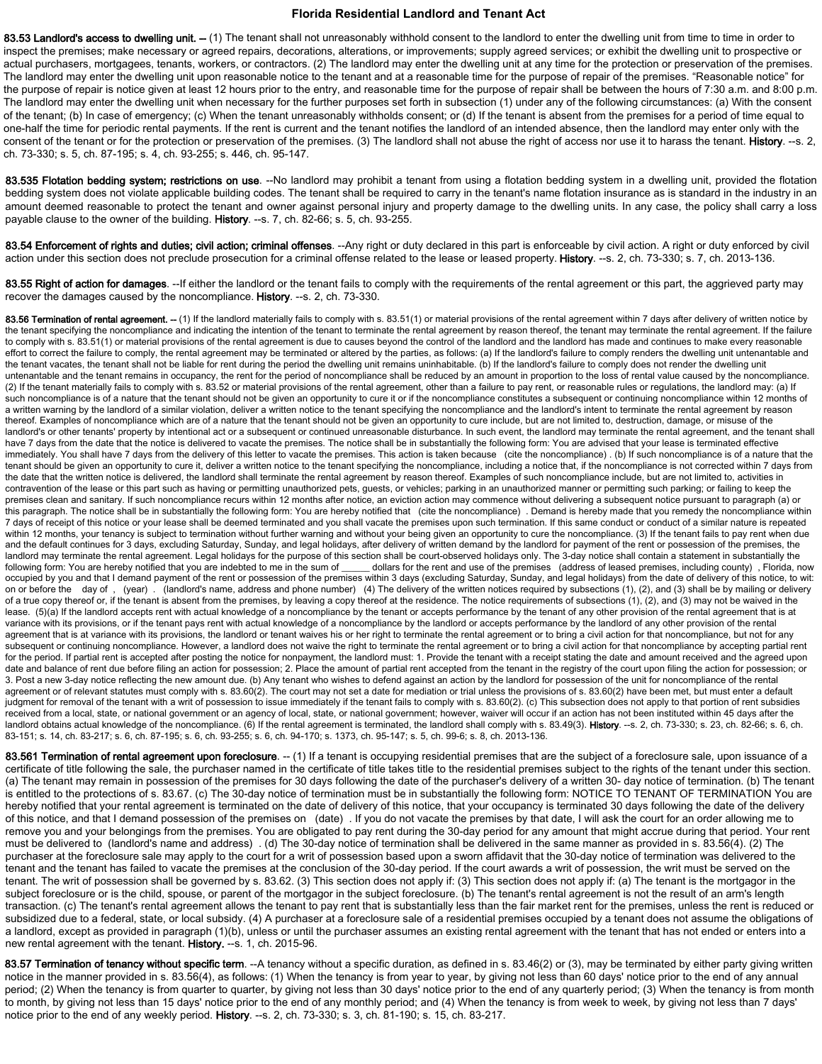83.53 Landlord's access to dwelling unit. -- (1) The tenant shall not unreasonably withhold consent to the landlord to enter the dwelling unit from time to time in order to inspect the premises; make necessary or agreed repairs, decorations, alterations, or improvements; supply agreed services; or exhibit the dwelling unit to prospective or actual purchasers, mortgagees, tenants, workers, or contractors. (2) The landlord may enter the dwelling unit at any time for the protection or preservation of the premises. The landlord may enter the dwelling unit upon reasonable notice to the tenant and at a reasonable time for the purpose of repair of the premises. "Reasonable notice" for the purpose of repair is notice given at least 12 hours prior to the entry, and reasonable time for the purpose of repair shall be between the hours of 7:30 a.m. and 8:00 p.m. The landlord may enter the dwelling unit when necessary for the further purposes set forth in subsection (1) under any of the following circumstances: (a) With the consent of the tenant; (b) In case of emergency; (c) When the tenant unreasonably withholds consent; or (d) If the tenant is absent from the premises for a period of time equal to one-half the time for periodic rental payments. If the rent is current and the tenant notifies the landlord of an intended absence, then the landlord may enter only with the consent of the tenant or for the protection or preservation of the premises. (3) The landlord shall not abuse the right of access nor use it to harass the tenant. History. --s. 2, ch. 73-330; s. 5, ch. 87-195; s. 4, ch. 93-255; s. 446, ch. 95-147.

83.535 Flotation bedding system; restrictions on use. --No landlord may prohibit a tenant from using a flotation bedding system in a dwelling unit, provided the flotation bedding system does not violate applicable building codes. The tenant shall be required to carry in the tenant's name flotation insurance as is standard in the industry in an amount deemed reasonable to protect the tenant and owner against personal injury and property damage to the dwelling units. In any case, the policy shall carry a loss payable clause to the owner of the building. History. --s. 7, ch. 82-66; s. 5, ch. 93-255.

83.54 Enforcement of rights and duties; civil action; criminal offenses. --Any right or duty declared in this part is enforceable by civil action. A right or duty enforced by civil action under this section does not preclude prosecution for a criminal offense related to the lease or leased property. History. --s. 2, ch. 73-330; s. 7, ch. 2013-136.

83.55 Right of action for damages. --If either the landlord or the tenant fails to comply with the requirements of the rental agreement or this part, the aggrieved party may recover the damages caused by the noncompliance. History. --s. 2, ch. 73-330.

83.56 Termination of rental agreement. -- (1) If the landlord materially fails to comply with s. 83.51(1) or material provisions of the rental agreement within 7 days after delivery of written notice by the tenant specifying the noncompliance and indicating the intention of the tenant to terminate the rental agreement by reason thereof, the tenant may terminate the rental agreement. If the failure to comply with s. 83.51(1) or material provisions of the rental agreement is due to causes beyond the control of the landlord and the landlord has made and continues to make every reasonable effort to correct the failure to comply, the rental agreement may be terminated or altered by the parties, as follows: (a) If the landlord's failure to comply renders the dwelling unit untenantable and the tenant vacates, the tenant shall not be liable for rent during the period the dwelling unit remains uninhabitable. (b) If the landlord's failure to comply does not render the dwelling unit untenantable and the tenant remains in occupancy, the rent for the period of noncompliance shall be reduced by an amount in proportion to the loss of rental value caused by the noncompliance. (2) If the tenant materially fails to comply with s. 83.52 or material provisions of the rental agreement, other than a failure to pay rent, or reasonable rules or regulations, the landlord may: (a) If such noncompliance is of a nature that the tenant should not be given an opportunity to cure it or if the noncompliance constitutes a subsequent or continuing noncompliance within 12 months of a written warning by the landlord of a similar violation, deliver a written notice to the tenant specifying the noncompliance and the landlord's intent to terminate the rental agreement by reason thereof. Examples of noncompliance which are of a nature that the tenant should not be given an opportunity to cure include, but are not limited to, destruction, damage, or misuse of the landlord's or other tenants' property by intentional act or a subsequent or continued unreasonable disturbance. In such event, the landlord may terminate the rental agreement, and the tenant shall have 7 days from the date that the notice is delivered to vacate the premises. The notice shall be in substantially the following form: You are advised that your lease is terminated effective immediately. You shall have 7 days from the delivery of this letter to vacate the premises. This action is taken because (cite the noncompliance). (b) If such noncompliance is of a nature that the tenant should be given an opportunity to cure it, deliver a written notice to the tenant specifying the noncompliance, including a notice that, if the noncompliance is not corrected within 7 days from the date that the written notice is delivered, the landlord shall terminate the rental agreement by reason thereof. Examples of such noncompliance include, but are not limited to, activities in contravention of the lease or this part such as having or permitting unauthorized pets, guests, or vehicles; parking in an unauthorized manner or permitting such parking; or failing to keep the premises clean and sanitary. If such noncompliance recurs within 12 months after notice, an eviction action may commence without delivering a subsequent notice pursuant to paragraph (a) or this paragraph. The notice shall be in substantially the following form: You are hereby notified that (cite the noncompliance) . Demand is hereby made that you remedy the noncompliance within 7 days of receipt of this notice or your lease shall be deemed terminated and you shall vacate the premises upon such termination. If this same conduct or conduct of a similar nature is repeated within 12 months, your tenancy is subject to termination without further warning and without your being given an opportunity to cure the noncompliance. (3) If the tenant fails to pay rent when due and the default continues for 3 days, excluding Saturday, Sunday, and legal holidays, after delivery of written demand by the landlord for payment of the rent or possession of the premises, the landlord may terminate the rental agreement. Legal holidays for the purpose of this section shall be court-observed holidays only. The 3-day notice shall contain a statement in substantially the following form: You are her dollars for the rent and use of the premises (address of leased premises, including county), Florida, now occupied by you and that I demand payment of the rent or possession of the premises within 3 days (excluding Saturday, Sunday, and legal holidays) from the date of delivery of this notice, to wit: on or before the day of , (year). (landlord's name, address and phone number) (4) The delivery of the written notices required by subsections (1), (2), and (3) shall be by mailing or delivery of a true copy thereof or, if the tenant is absent from the premises, by leaving a copy thereof at the residence. The notice requirements of subsections (1), (2), and (3) may not be waived in the lease. (5)(a) If the landlord accepts rent with actual knowledge of a noncompliance by the tenant or accepts performance by the tenant of any other provision of the rental agreement that is at variance with its provisions, or if the tenant pays rent with actual knowledge of a noncompliance by the landlord or accepts performance by the landlord of any other provision of the rental agreement that is at variance with its provisions, the landlord or tenant waives his or her right to terminate the rental agreement or to bring a civil action for that noncompliance, but not for any subsequent or continuing noncompliance. However, a landlord does not waive the right to terminate the rental agreement or to bring a civil action for that noncompliance by accepting partial rent for the period. If partial rent is accepted after posting the notice for nonpayment, the landlord must: 1. Provide the tenant with a receipt stating the date and amount received and the agreed upon date and balance of rent due before filing an action for possession; 2. Place the amount of partial rent accepted from the tenant in the registry of the court upon filing the action for possession; or 3. Post a new 3-day notice reflecting the new amount due. (b) Any tenant who wishes to defend against an action by the landlord for possession of the unit for noncompliance of the rental agreement or of relevant statutes must comply with s. 83.60(2). The court may not set a date for mediation or trial unless the provisions of s. 83.60(2) have been met, but must enter a default judgment for removal of the tenant with a writ of possession to issue immediately if the tenant fails to comply with s. 83.60(2). (c) This subsection does not apply to that portion of rent subsidies received from a local, state, or national government or an agency of local, state, or national government; however, waiver will occur if an action has not been instituted within 45 days after the landlord obtains actual knowledge of the noncompliance. (6) If the rental agreement is terminated, the landlord shall comply with s. 83.49(3). History. --s. 2, ch. 73-330; s. 23, ch. 82-66; s. 6, ch. 83-151; s. 14, ch. 83-217; s. 6, ch. 87-195; s. 6, ch. 93-255; s. 6, ch. 94-170; s. 1373, ch. 95-147; s. 5, ch. 99-6; s. 8, ch. 2013-136.

83.561 Termination of rental agreement upon foreclosure. -- (1) If a tenant is occupying residential premises that are the subject of a foreclosure sale, upon issuance of a certificate of title following the sale, the purchaser named in the certificate of title takes title to the residential premises subject to the rights of the tenant under this section. (a) The tenant may remain in possession of the premises for 30 days following the date of the purchaser's delivery of a written 30- day notice of termination. (b) The tenant is entitled to the protections of s. 83.67. (c) The 30-day notice of termination must be in substantially the following form: NOTICE TO TENANT OF TERMINATION You are hereby notified that your rental agreement is terminated on the date of delivery of this notice, that your occupancy is terminated 30 days following the date of the delivery of this notice, and that I demand possession of the premises on (date) . If you do not vacate the premises by that date, I will ask the court for an order allowing me to remove you and your belongings from the premises. You are obligated to pay rent during the 30-day period for any amount that might accrue during that period. Your rent must be delivered to (landlord's name and address) . (d) The 30-day notice of termination shall be delivered in the same manner as provided in s. 83.56(4). (2) The purchaser at the foreclosure sale may apply to the court for a writ of possession based upon a sworn affidavit that the 30-day notice of termination was delivered to the tenant and the tenant has failed to vacate the premises at the conclusion of the 30-day period. If the court awards a writ of possession, the writ must be served on the tenant. The writ of possession shall be governed by s. 83.62. (3) This section does not apply if: (3) This section does not apply if: (a) The tenant is the mortgagor in the subject foreclosure or is the child, spouse, or parent of the mortgagor in the subject foreclosure. (b) The tenant's rental agreement is not the result of an arm's length transaction. (c) The tenant's rental agreement allows the tenant to pay rent that is substantially less than the fair market rent for the premises, unless the rent is reduced or subsidized due to a federal, state, or local subsidy. (4) A purchaser at a foreclosure sale of a residential premises occupied by a tenant does not assume the obligations of a landlord, except as provided in paragraph (1)(b), unless or until the purchaser assumes an existing rental agreement with the tenant that has not ended or enters into a new rental agreement with the tenant. History. --s. 1, ch. 2015-96.

83.57 Termination of tenancy without specific term. --A tenancy without a specific duration, as defined in s. 83.46(2) or (3), may be terminated by either party giving written notice in the manner provided in s. 83.56(4), as follows: (1) When the tenancy is from year to year, by giving not less than 60 days' notice prior to the end of any annual period; (2) When the tenancy is from quarter to quarter, by giving not less than 30 days' notice prior to the end of any quarterly period; (3) When the tenancy is from month to month, by giving not less than 15 days' notice prior to the end of any monthly period; and (4) When the tenancy is from week to week, by giving not less than 7 days' notice prior to the end of any weekly period. History. --s. 2, ch. 73-330; s. 3, ch. 81-190; s. 15, ch. 83-217.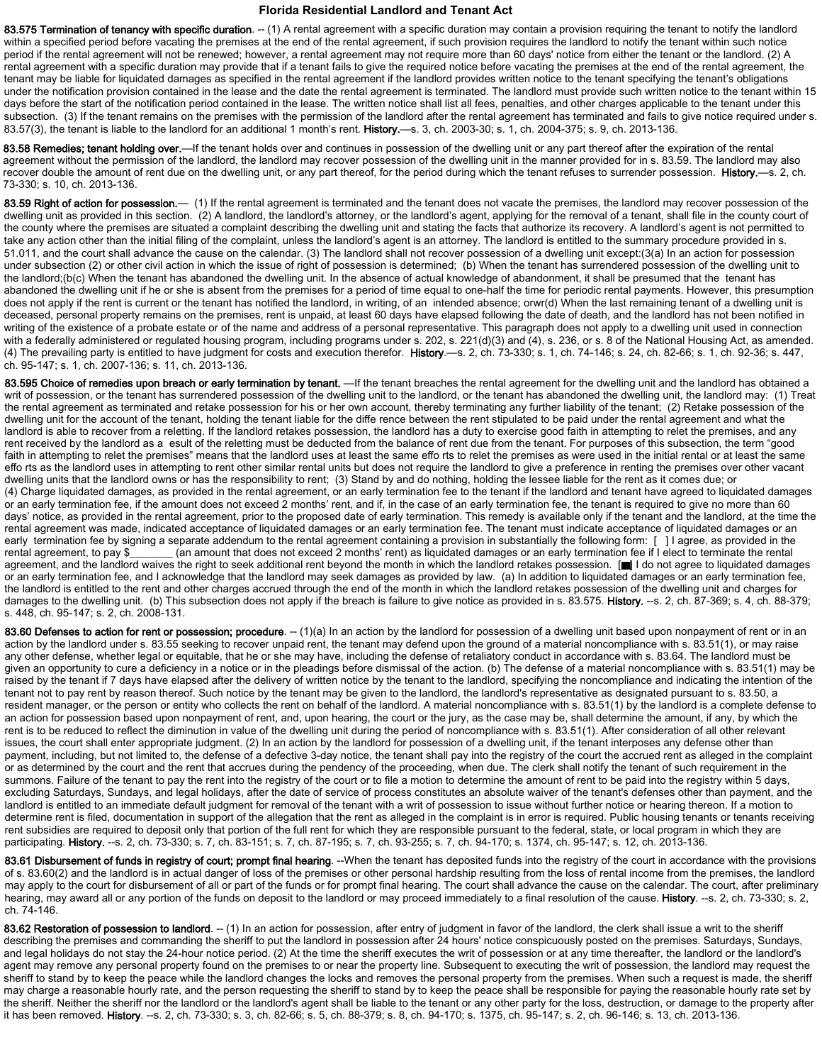83.575 Termination of tenancy with specific duration. -- (1) A rental agreement with a specific duration may contain a provision requiring the tenant to notify the landlord within a specified period before vacating the premises at the end of the rental agreement, if such provision requires the landlord to notify the tenant within such notice period if the rental agreement will not be renewed; however, a rental agreement may not require more than 60 days' notice from either the tenant or the landlord. (2) A rental agreement with a specific duration may provide that if a tenant fails to give the required notice before vacating the premises at the end of the rental agreement, the tenant may be liable for liquidated damages as specified in the rental agreement if the landlord provides written notice to the tenant specifying the tenant's obligations under the notification provision contained in the lease and the date the rental agreement is terminated. The landlord must provide such written notice to the tenant within 15 days before the start of the notification period contained in the lease. The written notice shall list all fees, penalties, and other charges applicable to the tenant under this subsection. (3) If the tenant remains on the premises with the permission of the landlord after the rental agreement has terminated and fails to give notice required under s. 83.57(3), the tenant is liable to the landlord for an additional 1 month's rent. History.—s. 3, ch. 2003-30; s. 1, ch. 2004-375; s. 9, ch. 2013-136.

83.58 Remedies; tenant holding over.—If the tenant holds over and continues in possession of the dwelling unit or any part thereof after the expiration of the rental agreement without the permission of the landlord, the landlord may recover possession of the dwelling unit in the manner provided for in s. 83.59. The landlord may also recover double the amount of rent due on the dwelling unit, or any part thereof, for the period during which the tenant refuses to surrender possession. History.—s. 2, ch. 73‐330; s. 10, ch. 2013‐136.

83.59 Right of action for possession.— (1) If the rental agreement is terminated and the tenant does not vacate the premises, the landlord mav recover possession of the dwelling unit as provided in this section. (2) A landlord, the landlord's attorney, or the landlord's agent, applying for the removal of a tenant, shall file in the county court of the county where the premises are situated a complaint describing the dwelling unit and stating the facts that authorize its recovery. A landlord's agent is not permitted to take any action other than the initial filing of the complaint, unless the landlord's agent is an attorney. The landlord is entitled to the summary procedure provided in s. 51.011, and the court shall advance the cause on the calendar. (3) The landlord shall not recover possession of a dwelling unit except:(3(a) In an action for possession under subsection (2) or other civil action in which the issue of right of possession is determined; (b) When the tenant has surrendered possession of the dwelling unit to the landlord;(b(c) When the tenant has abandoned the dwelling unit. In the absence of actual knowledge of abandonment, it shall be presumed that the tenant has abandoned the dwelling unit if he or she is absent from the premises for a period of time equal to one-half the time for periodic rental payments. However, this presumption does not apply if the rent is current or the tenant has notified the landlord, in writing, of an intended absence; orwr(d) When the last remaining tenant of a dwelling unit is deceased, personal property remains on the premises, rent is unpaid, at least 60 days have elapsed following the date of death, and the landlord has not been notified in writing of the existence of a probate estate or of the name and address of a personal representative. This paragraph does not apply to a dwelling unit used in connection with a federally administered or regulated housing program, including programs under s. 202, s. 221(d)(3) and (4), s. 236, or s. 8 of the National Housing Act, as amended. (4) The prevailing party is entitled to have judgment for costs and execution therefor. History.—s. 2, ch. 73-330; s. 1, ch. 74-146; s. 24, ch. 82-66; s. 1, ch. 92-36; s. 47, ch. 95‐147; s. 1, ch. 2007‐136; s. 11, ch. 2013‐136.

83.595 Choice of remedies upon breach or early termination by tenant. —If the tenant breaches the rental agreement for the dwelling unit and the landlord has obtained a writ of possession, or the tenant has surrendered possession of the dwelling unit to the landlord, or the tenant has abandoned the dwelling unit, the landlord may: (1) Treat the rental agreement as terminated and retake possession for his or her own account, thereby terminating any further liability of the tenant; (2) Retake possession of the dwelling unit for the account of the tenant, holding the tenant liable for the diffe rence between the rent stipulated to be paid under the rental agreement and what the landlord is able to recover from a reletting. If the landlord retakes possession, the landlord has a duty to exercise good faith in attempting to relet the premises, and any rent received by the landlord as a esult of the reletting must be deducted from the balance of rent due from the tenant. For purposes of this subsection, the term "good faith in attempting to relet the premises" means that the landlord uses at least the same effo rts to relet the premises as were used in the initial rental or at least the same effo rts as the landlord uses in attempting to rent other similar rental units but does not require the landlord to give a preference in renting the premises over other vacant dwelling units that the landlord owns or has the responsibility to rent; (3) Stand by and do nothing, holding the lessee liable for the rent as it comes due; or (4) Charge liquidated damages, as provided in the rental agreement, or an early termination fee to the tenant if the landlord and tenant have agreed to liquidated damages or an early termination fee, if the amount does not exceed 2 months' rent, and if, in the case of an early termination fee, the tenant is required to give no more than 60 days' notice, as provided in the rental agreement, prior to the proposed date of early termination. This remedy is available only if the tenant and the landlord, at the time the rental agreement was made, indicated acceptance of liquidated damages or an early termination fee. The tenant must indicate acceptance of liquidated damages or an early termination fee by signing a separate addendum to the rental agreement containing a provision in substantially the following form: [ ] I agree, as provided in the rental agreement, to pay \$\_\_\_\_\_\_\_ (an amount that does not exceed 2 months' rent) as liquidated damages or an early termination fee if I elect to terminate the rental agreement, and the landlord waives the right to seek additional rent beyond the month in which the landlord retakes possession. [I] I do not agree to liquidated damages or an early termination fee, and I acknowledge that the landlord may seek damages as provided by law. (a) In addition to liquidated damages or an early termination fee, the landlord is entitled to the rent and other charges accrued through the end of the month in which the landlord retakes possession of the dwelling unit and charges for damages to the dwelling unit. (b) This subsection does not apply if the breach is failure to give notice as provided in s. 83.575. History. --s. 2, ch. 87-369; s. 4, ch. 88-379; s. 448, ch. 95-147; s. 2, ch. 2008-131.

83.60 Defenses to action for rent or possession; procedure. -- (1)(a) In an action by the landlord for possession of a dwelling unit based upon nonpayment of rent or in an action by the landlord under s. 83.55 seeking to recover unpaid rent, the tenant may defend upon the ground of a material noncompliance with s. 83.51(1), or may raise any other defense, whether legal or equitable, that he or she may have, including the defense of retaliatory conduct in accordance with s. 83.64. The landlord must be given an opportunity to cure a deficiency in a notice or in the pleadings before dismissal of the action. (b) The defense of a material noncompliance with s. 83.51(1) may be raised by the tenant if 7 days have elapsed after the delivery of written notice by the tenant to the landlord, specifying the noncompliance and indicating the intention of the tenant not to pay rent by reason thereof. Such notice by the tenant may be given to the landlord, the landlord's representative as designated pursuant to s. 83.50, a resident manager, or the person or entity who collects the rent on behalf of the landlord. A material noncompliance with s. 83.51(1) by the landlord is a complete defense to an action for possession based upon nonpayment of rent, and, upon hearing, the court or the jury, as the case may be, shall determine the amount, if any, by which the rent is to be reduced to reflect the diminution in value of the dwelling unit during the period of noncompliance with s. 83.51(1). After consideration of all other relevant issues, the court shall enter appropriate judgment. (2) In an action by the landlord for possession of a dwelling unit, if the tenant interposes any defense other than payment, including, but not limited to, the defense of a defective 3-day notice, the tenant shall pay into the registry of the court the accrued rent as alleged in the complaint or as determined by the court and the rent that accrues during the pendency of the proceeding, when due. The clerk shall notify the tenant of such requirement in the summons. Failure of the tenant to pay the rent into the registry of the court or to file a motion to determine the amount of rent to be paid into the registry within 5 days, excluding Saturdays, Sundays, and legal holidays, after the date of service of process constitutes an absolute waiver of the tenant's defenses other than payment, and the landlord is entitled to an immediate default judgment for removal of the tenant with a writ of possession to issue without further notice or hearing thereon. If a motion to determine rent is filed, documentation in support of the allegation that the rent as alleged in the complaint is in error is required. Public housing tenants or tenants receiving rent subsidies are required to deposit only that portion of the full rent for which they are responsible pursuant to the federal, state, or local program in which they are participating. History. --s. 2, ch. 73-330; s. 7, ch. 83-151; s. 7, ch. 87-195; s. 7, ch. 93-255; s. 7, ch. 94-170; s. 1374, ch. 95-147; s. 12, ch. 2013-136.

83.61 Disbursement of funds in registry of court; prompt final hearing. --When the tenant has deposited funds into the registry of the court in accordance with the provisions of s. 83.60(2) and the landlord is in actual danger of loss of the premises or other personal hardship resulting from the loss of rental income from the premises, the landlord may apply to the court for disbursement of all or part of the funds or for prompt final hearing. The court shall advance the cause on the calendar. The court, after preliminary hearing, may award all or any portion of the funds on deposit to the landlord or may proceed immediately to a final resolution of the cause. History. --s. 2, ch. 73-330; s. 2, ch. 74-146.

83.62 Restoration of possession to landlord. -- (1) In an action for possession, after entry of judgment in favor of the landlord, the clerk shall issue a writ to the sheriff describing the premises and commanding the sheriff to put the landlord in possession after 24 hours' notice conspicuously posted on the premises. Saturdays, Sundays, and legal holidays do not stay the 24-hour notice period. (2) At the time the sheriff executes the writ of possession or at any time thereafter, the landlord or the landlord's agent may remove any personal property found on the premises to or near the property line. Subsequent to executing the writ of possession, the landlord may request the sheriff to stand by to keep the peace while the landlord changes the locks and removes the personal property from the premises. When such a request is made, the sheriff may charge a reasonable hourly rate, and the person requesting the sheriff to stand by to keep the peace shall be responsible for paying the reasonable hourly rate set by the sheriff. Neither the sheriff nor the landlord or the landlord's agent shall be liable to the tenant or any other party for the loss, destruction, or damage to the property after it has been removed. History. --s. 2, ch. 73-330; s. 3, ch. 82-66; s. 5, ch. 88-379; s. 8, ch. 94-170; s. 1375, ch. 95-147; s. 2, ch. 96-146; s. 13, ch. 2013-136.